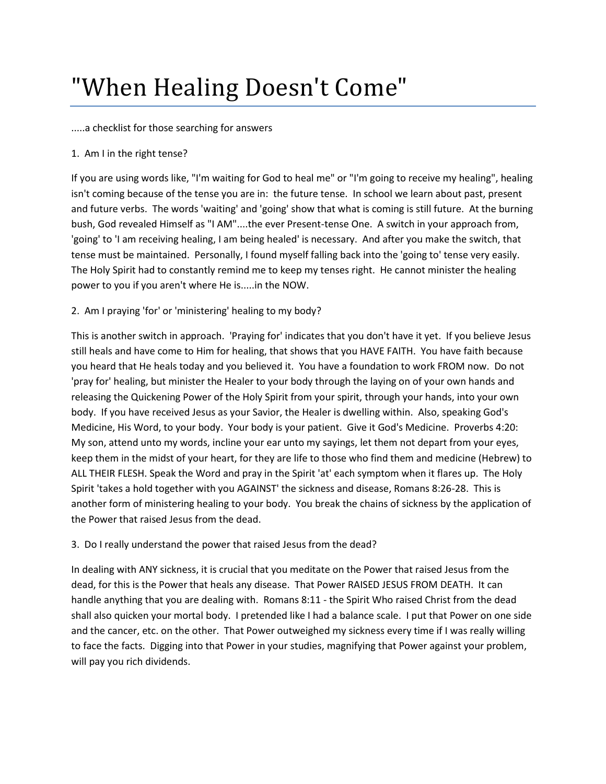# "When Healing Doesn't Come"

#### .....a checklist for those searching for answers

## 1. Am I in the right tense?

If you are using words like, "I'm waiting for God to heal me" or "I'm going to receive my healing", healing isn't coming because of the tense you are in: the future tense. In school we learn about past, present and future verbs. The words 'waiting' and 'going' show that what is coming is still future. At the burning bush, God revealed Himself as "I AM"....the ever Present-tense One. A switch in your approach from, 'going' to 'I am receiving healing, I am being healed' is necessary. And after you make the switch, that tense must be maintained. Personally, I found myself falling back into the 'going to' tense very easily. The Holy Spirit had to constantly remind me to keep my tenses right. He cannot minister the healing power to you if you aren't where He is.....in the NOW.

## 2. Am I praying 'for' or 'ministering' healing to my body?

This is another switch in approach. 'Praying for' indicates that you don't have it yet. If you believe Jesus still heals and have come to Him for healing, that shows that you HAVE FAITH. You have faith because you heard that He heals today and you believed it. You have a foundation to work FROM now. Do not 'pray for' healing, but minister the Healer to your body through the laying on of your own hands and releasing the Quickening Power of the Holy Spirit from your spirit, through your hands, into your own body. If you have received Jesus as your Savior, the Healer is dwelling within. Also, speaking God's Medicine, His Word, to your body. Your body is your patient. Give it God's Medicine. Proverbs 4:20: My son, attend unto my words, incline your ear unto my sayings, let them not depart from your eyes, keep them in the midst of your heart, for they are life to those who find them and medicine (Hebrew) to ALL THEIR FLESH. Speak the Word and pray in the Spirit 'at' each symptom when it flares up. The Holy Spirit 'takes a hold together with you AGAINST' the sickness and disease, Romans 8:26-28. This is another form of ministering healing to your body. You break the chains of sickness by the application of the Power that raised Jesus from the dead.

## 3. Do I really understand the power that raised Jesus from the dead?

In dealing with ANY sickness, it is crucial that you meditate on the Power that raised Jesus from the dead, for this is the Power that heals any disease. That Power RAISED JESUS FROM DEATH. It can handle anything that you are dealing with. Romans 8:11 - the Spirit Who raised Christ from the dead shall also quicken your mortal body. I pretended like I had a balance scale. I put that Power on one side and the cancer, etc. on the other. That Power outweighed my sickness every time if I was really willing to face the facts. Digging into that Power in your studies, magnifying that Power against your problem, will pay you rich dividends.